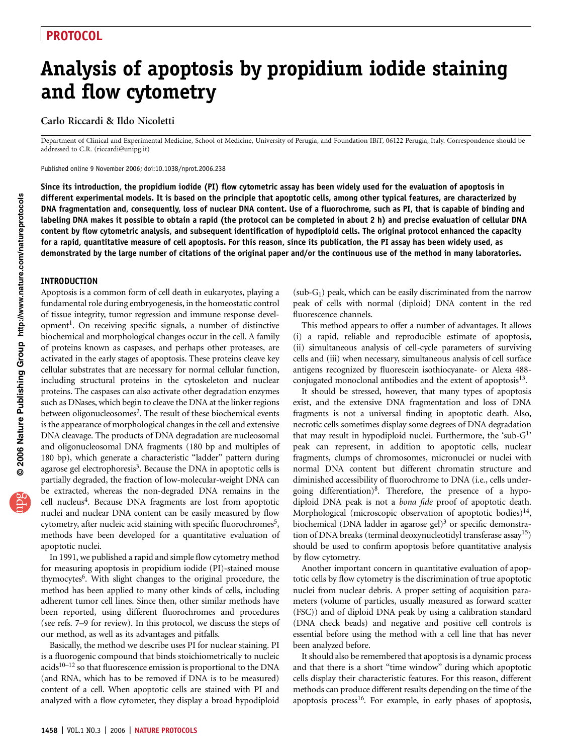# PROTOCOL

# Analysis of apoptosis by propidium iodide staining and flow cytometry

#### Carlo Riccardi & Ildo Nicoletti

Department of Clinical and Experimental Medicine, School of Medicine, University of Perugia, and Foundation IBiT, 06122 Perugia, Italy. Correspondence should be addressed to C.R. (riccardi@unipg.it)

Published online 9 November 2006; doi:10.1038/nprot.2006.238

Since its introduction, the propidium iodide (PI) flow cytometric assay has been widely used for the evaluation of apoptosis in different experimental models. It is based on the principle that apoptotic cells, among other typical features, are characterized by DNA fragmentation and, consequently, loss of nuclear DNA content. Use of a fluorochrome, such as PI, that is capable of binding and labeling DNA makes it possible to obtain a rapid (the protocol can be completed in about 2 h) and precise evaluation of cellular DNA content by flow cytometric analysis, and subsequent identification of hypodiploid cells. The original protocol enhanced the capacity for a rapid, quantitative measure of cell apoptosis. For this reason, since its publication, the PI assay has been widely used, as demonstrated by the large number of citations of the original paper and/or the continuous use of the method in many laboratories.

#### INTRODUCTION

Apoptosis is a common form of cell death in eukaryotes, playing a fundamental role during embryogenesis, in the homeostatic control of tissue integrity, tumor regression and immune response development<sup>1</sup>. On receiving specific signals, a number of distinctive biochemical and morphological changes occur in the cell. A family of proteins known as caspases, and perhaps other proteases, are activated in the early stages of apoptosis. These proteins cleave key cellular substrates that are necessary for normal cellular function, including structural proteins in the cytoskeleton and nuclear proteins. The caspases can also activate other degradation enzymes such as DNases, which begin to cleave the DNA at the linker regions between oligonucleosomes<sup>2</sup>. The result of these biochemical events is the appearance of morphological changes in the cell and extensive DNA cleavage. The products of DNA degradation are nucleosomal and oligonucleosomal DNA fragments (180 bp and multiples of 180 bp), which generate a characteristic ''ladder'' pattern during agarose gel electrophoresis $3$ . Because the DNA in apoptotic cells is partially degraded, the fraction of low-molecular-weight DNA can be extracted, whereas the non-degraded DNA remains in the cell nucleus<sup>4</sup>. Because DNA fragments are lost from apoptotic nuclei and nuclear DNA content can be easily measured by flow cytometry, after nucleic acid staining with specific fluorochromes<sup>5</sup>, methods have been developed for a quantitative evaluation of apoptotic nuclei.

In 1991, we published a rapid and simple flow cytometry method for measuring apoptosis in propidium iodide (PI)-stained mouse thymocytes<sup>6</sup>. With slight changes to the original procedure, the method has been applied to many other kinds of cells, including adherent tumor cell lines. Since then, other similar methods have been reported, using different fluorochromes and procedures (see refs. 7–9 for review). In this protocol, we discuss the steps of our method, as well as its advantages and pitfalls.

Basically, the method we describe uses PI for nuclear staining. PI is a fluorogenic compound that binds stoichiometrically to nucleic  $acids^{10-12}$  so that fluorescence emission is proportional to the DNA (and RNA, which has to be removed if DNA is to be measured) content of a cell. When apoptotic cells are stained with PI and analyzed with a flow cytometer, they display a broad hypodiploid  $(sub-G<sub>1</sub>)$  peak, which can be easily discriminated from the narrow peak of cells with normal (diploid) DNA content in the red fluorescence channels.

This method appears to offer a number of advantages. It allows (i) a rapid, reliable and reproducible estimate of apoptosis, (ii) simultaneous analysis of cell-cycle parameters of surviving cells and (iii) when necessary, simultaneous analysis of cell surface antigens recognized by fluorescein isothiocyanate- or Alexa 488 conjugated monoclonal antibodies and the extent of apoptosis $13$ .

It should be stressed, however, that many types of apoptosis exist, and the extensive DNA fragmentation and loss of DNA fragments is not a universal finding in apoptotic death. Also, necrotic cells sometimes display some degrees of DNA degradation that may result in hypodiploid nuclei. Furthermore, the 'sub- $G<sup>1</sup>$ ' peak can represent, in addition to apoptotic cells, nuclear fragments, clumps of chromosomes, micronuclei or nuclei with normal DNA content but different chromatin structure and diminished accessibility of fluorochrome to DNA (i.e., cells undergoing differentiation)<sup>8</sup>. Therefore, the presence of a hypodiploid DNA peak is not a bona fide proof of apoptotic death. Morphological (microscopic observation of apoptotic bodies)<sup>14</sup>, biochemical (DNA ladder in agarose gel) $3$  or specific demonstration of DNA breaks (terminal deoxynucleotidyl transferase assay<sup>15</sup>) should be used to confirm apoptosis before quantitative analysis by flow cytometry.

Another important concern in quantitative evaluation of apoptotic cells by flow cytometry is the discrimination of true apoptotic nuclei from nuclear debris. A proper setting of acquisition parameters (volume of particles, usually measured as forward scatter (FSC)) and of diploid DNA peak by using a calibration standard (DNA check beads) and negative and positive cell controls is essential before using the method with a cell line that has never been analyzed before.

It should also be remembered that apoptosis is a dynamic process and that there is a short ''time window'' during which apoptotic cells display their characteristic features. For this reason, different methods can produce different results depending on the time of the apoptosis process<sup>16</sup>. For example, in early phases of apoptosis,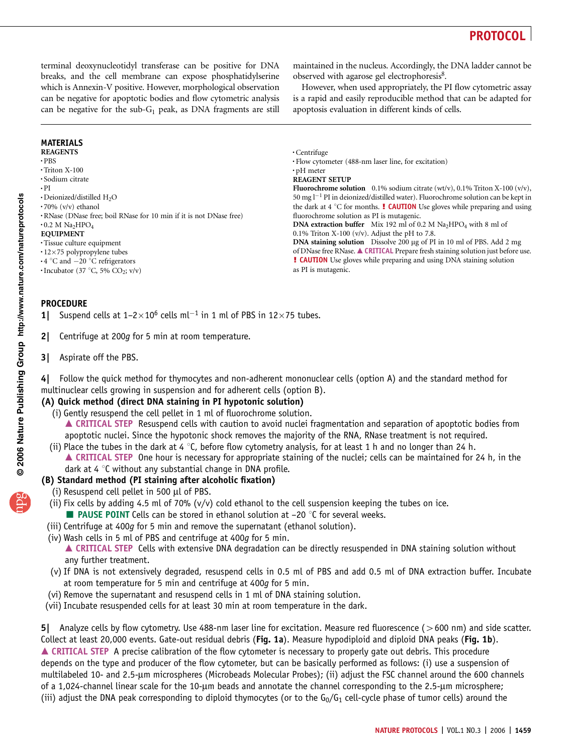terminal deoxynucleotidyl transferase can be positive for DNA breaks, and the cell membrane can expose phosphatidylserine which is Annexin-V positive. However, morphological observation can be negative for apoptotic bodies and flow cytometric analysis can be negative for the sub- $G_1$  peak, as DNA fragments are still

#### MATERIALS REAGENTS

- .PBS .Triton X-100
- .Sodium citrate
- $\cdot$ PI
- 
- Deionized/distilled  $H_2O$ <br>• 70% (v/v) ethanol
- .RNase (DNase free; boil RNase for 10 min if it is not DNase free)

#### $\cdot$  0.2 M Na<sub>2</sub>HPO<sub>4</sub>

EQUIPMENT .Tissue culture equipment

• 12×75 polypropylene tubes<br>•4 °C and  $-20$  °C refrigerators

 $\cdot$  Incubator (37 °C, 5% CO<sub>2</sub>; v/v)

maintained in the nucleus. Accordingly, the DNA ladder cannot be observed with agarose gel electrophoresis<sup>8</sup>.

However, when used appropriately, the PI flow cytometric assay is a rapid and easily reproducible method that can be adapted for apoptosis evaluation in different kinds of cells.

- .Centrifuge .Flow cytometer (488-nm laser line, for excitation)
- .pH meter REAGENT SETUP
- Fluorochrome solution  $0.1\%$  sodium citrate (wt/v),  $0.1\%$  Triton X-100 (v/v), 50 mg l<sup>-1</sup> PI in deionized/distilled water). Fluorochrome solution can be kept in the dark at 4  $\rm ^{\circ}C$  for months. **! CAUTION** Use gloves while preparing and using fluorochrome solution as PI is mutagenic. DNA extraction buffer Mix 192 ml of 0.2 M Na<sub>2</sub>HPO<sub>4</sub> with 8 ml of 0.1% Triton X-100 (v/v). Adjust the pH to 7.8.

DNA staining solution Dissolve 200 µg of PI in 10 ml of PBS. Add 2 mg of DNase free RNase.  $\triangle$  CRITICAL Prepare fresh staining solution just before use. ! CAUTION Use gloves while preparing and using DNA staining solution as PI is mutagenic.

# **PROCEDURE**

- 1 Suspend cells at  $1-2\times10^6$  cells ml<sup>-1</sup> in 1 ml of PBS in  $12\times75$  tubes.
- 2| Centrifuge at 200g for 5 min at room temperature.
- 3| Aspirate off the PBS.

4| Follow the quick method for thymocytes and non-adherent mononuclear cells (option A) and the standard method for multinuclear cells growing in suspension and for adherent cells (option B).

#### (A) Quick method (direct DNA staining in PI hypotonic solution)

- (i) Gently resuspend the cell pellet in 1 ml of fluorochrome solution. ▲ CRITICAL STEP Resuspend cells with caution to avoid nuclei fragmentation and separation of apoptotic bodies from apoptotic nuclei. Since the hypotonic shock removes the majority of the RNA, RNase treatment is not required.
- (ii) Place the tubes in the dark at 4  $\degree$ C, before flow cytometry analysis, for at least 1 h and no longer than 24 h. ■ CRITICAL STEP One hour is necessary for appropriate staining of the nuclei; cells can be maintained for 24 h, in the dark at 4  $\degree$ C without any substantial change in DNA profile.

### (B) Standard method (PI staining after alcoholic fixation)

- (i) Resuspend cell pellet in 500  $\mu$ l of PBS.
- (ii) Fix cells by adding 4.5 ml of 70% ( $v/v$ ) cold ethanol to the cell suspension keeping the tubes on ice. **PAUSE POINT Cells can be stored in ethanol solution at -20 °C for several weeks.**
- (iii) Centrifuge at 400g for 5 min and remove the supernatant (ethanol solution).
- (iv) Wash cells in 5 ml of PBS and centrifuge at 400g for 5 min.

▲ CRITICAL STEP Cells with extensive DNA degradation can be directly resuspended in DNA staining solution without any further treatment.

- (v) If DNA is not extensively degraded, resuspend cells in 0.5 ml of PBS and add 0.5 ml of DNA extraction buffer. Incubate at room temperature for 5 min and centrifuge at 400g for 5 min.
- (vi) Remove the supernatant and resuspend cells in 1 ml of DNA staining solution.
- (vii) Incubate resuspended cells for at least 30 min at room temperature in the dark.

5| Analyze cells by flow cytometry. Use 488-nm laser line for excitation. Measure red fluorescence (>600 nm) and side scatter. Collect at least 20,000 events. Gate-out residual debris (Fig. 1a). Measure hypodiploid and diploid DNA peaks (Fig. 1b). ▲ CRITICAL STEP A precise calibration of the flow cytometer is necessary to properly gate out debris. This procedure depends on the type and producer of the flow cytometer, but can be basically performed as follows: (i) use a suspension of multilabeled 10- and 2.5-µm microspheres (Microbeads Molecular Probes); (ii) adjust the FSC channel around the 600 channels of a 1,024-channel linear scale for the 10- $\mu$ m beads and annotate the channel corresponding to the 2.5- $\mu$ m microsphere; (iii) adjust the DNA peak corresponding to diploid thymocytes (or to the  $G_0/G_1$  cell-cycle phase of tumor cells) around the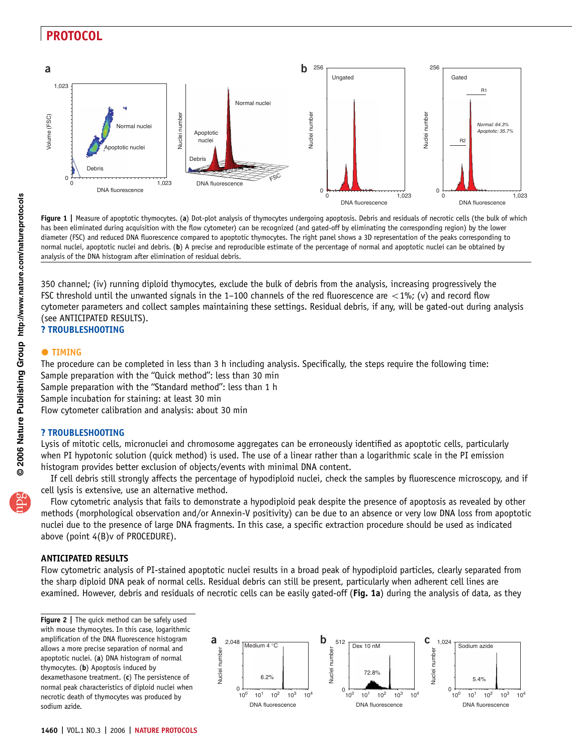# PROTOCOL



Figure 1 | Measure of apoptotic thymocytes. (a) Dot-plot analysis of thymocytes undergoing apoptosis. Debris and residuals of necrotic cells (the bulk of which has been eliminated during acquisition with the flow cytometer) can be recognized (and gated-off by eliminating the corresponding region) by the lower diameter (FSC) and reduced DNA fluorescence compared to apoptotic thymocytes. The right panel shows a 3D representation of the peaks corresponding to normal nuclei, apoptotic nuclei and debris. (b) A precise and reproducible estimate of the percentage of normal and apoptotic nuclei can be obtained by analysis of the DNA histogram after elimination of residual debris.

350 channel; (iv) running diploid thymocytes, exclude the bulk of debris from the analysis, increasing progressively the FSC threshold until the unwanted signals in the  $1-100$  channels of the red fluorescence are  $\langle 1\%; (v) \rangle$  and record flow cytometer parameters and collect samples maintaining these settings. Residual debris, if any, will be gated-out during analysis (see ANTICIPATED RESULTS).

# ? TROUBLESHOOTING

#### **• TIMING**

The procedure can be completed in less than 3 h including analysis. Specifically, the steps require the following time: Sample preparation with the ''Quick method'': less than 30 min

Sample preparation with the ''Standard method'': less than 1 h

Sample incubation for staining: at least 30 min

Flow cytometer calibration and analysis: about 30 min

#### ? TROUBLESHOOTING

Lysis of mitotic cells, micronuclei and chromosome aggregates can be erroneously identified as apoptotic cells, particularly when PI hypotonic solution (quick method) is used. The use of a linear rather than a logarithmic scale in the PI emission histogram provides better exclusion of objects/events with minimal DNA content.

If cell debris still strongly affects the percentage of hypodiploid nuclei, check the samples by fluorescence microscopy, and if cell lysis is extensive, use an alternative method.

Flow cytometric analysis that fails to demonstrate a hypodiploid peak despite the presence of apoptosis as revealed by other methods (morphological observation and/or Annexin-V positivity) can be due to an absence or very low DNA loss from apoptotic nuclei due to the presence of large DNA fragments. In this case, a specific extraction procedure should be used as indicated above (point 4(B)v of PROCEDURE).

#### ANTICIPATED RESULTS

Flow cytometric analysis of PI-stained apoptotic nuclei results in a broad peak of hypodiploid particles, clearly separated from the sharp diploid DNA peak of normal cells. Residual debris can still be present, particularly when adherent cell lines are examined. However, debris and residuals of necrotic cells can be easily gated-off (Fig. 1a) during the analysis of data, as they

Figure 2 | The quick method can be safely used with mouse thymocytes. In this case, logarithmic amplification of the DNA fluorescence histogram allows a more precise separation of normal and apoptotic nuclei. (a) DNA histogram of normal thymocytes. (b) Apoptosis induced by dexamethasone treatment. (c) The persistence of normal peak characteristics of diploid nuclei when necrotic death of thymocytes was produced by sodium azide.



apg